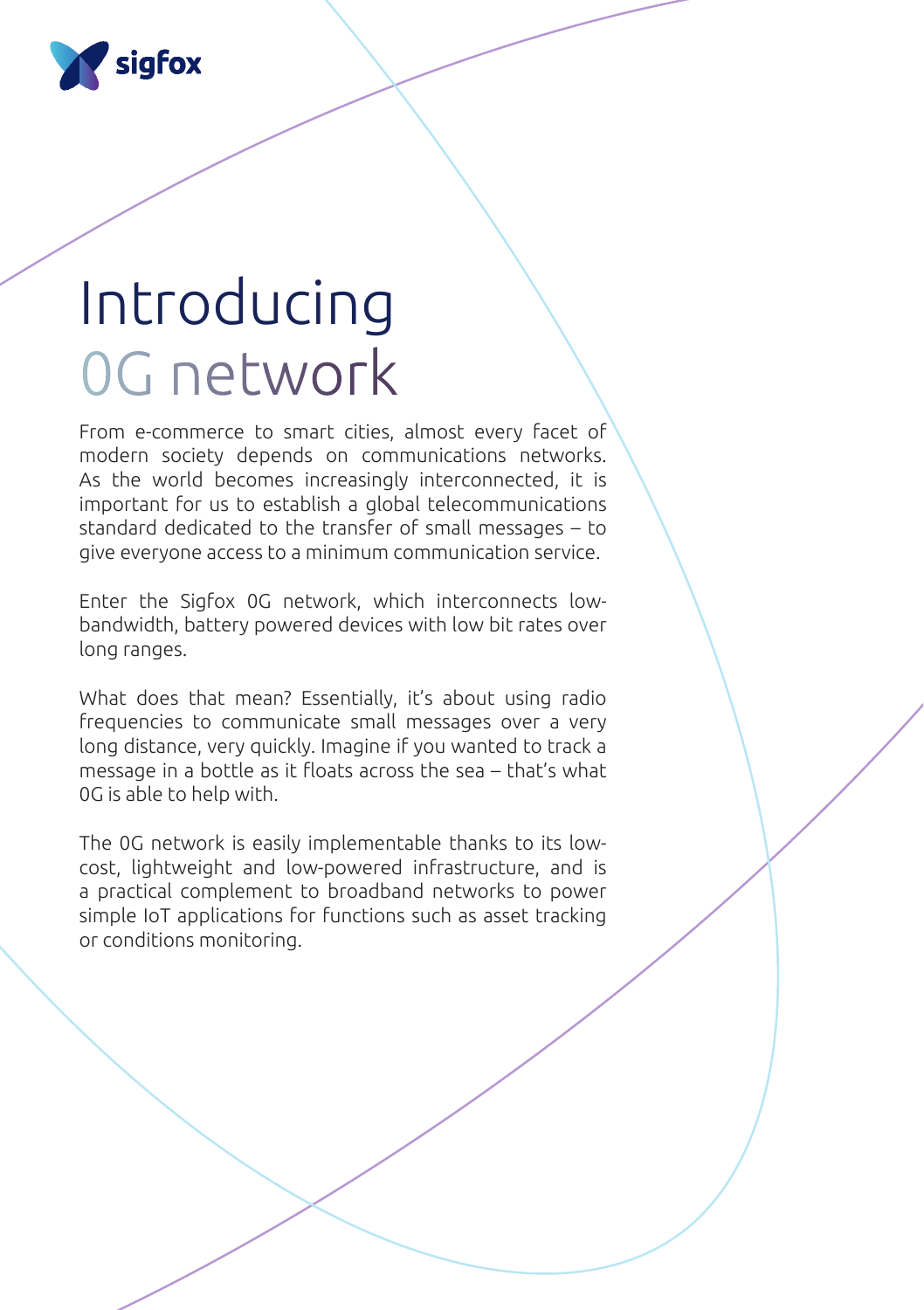

# Introducing 0G network

From e-commerce to smart cities, almost every facet of modern society depends on communications networks. As the world becomes increasingly interconnected, it is important for us to establish a global telecommunications standard dedicated to the transfer of small messages – to give everyone access to a minimum communication service.

Enter the Sigfox 0G network, which interconnects lowbandwidth, battery powered devices with low bit rates over long ranges.

What does that mean? Essentially, it's about using radio frequencies to communicate small messages over a very long distance, very quickly. Imagine if you wanted to track a message in a bottle as it floats across the sea – that's what 0G is able to help with.

The 0G network is easily implementable thanks to its lowcost, lightweight and low-powered infrastructure, and is a practical complement to broadband networks to power simple IoT applications for functions such as asset tracking or conditions monitoring.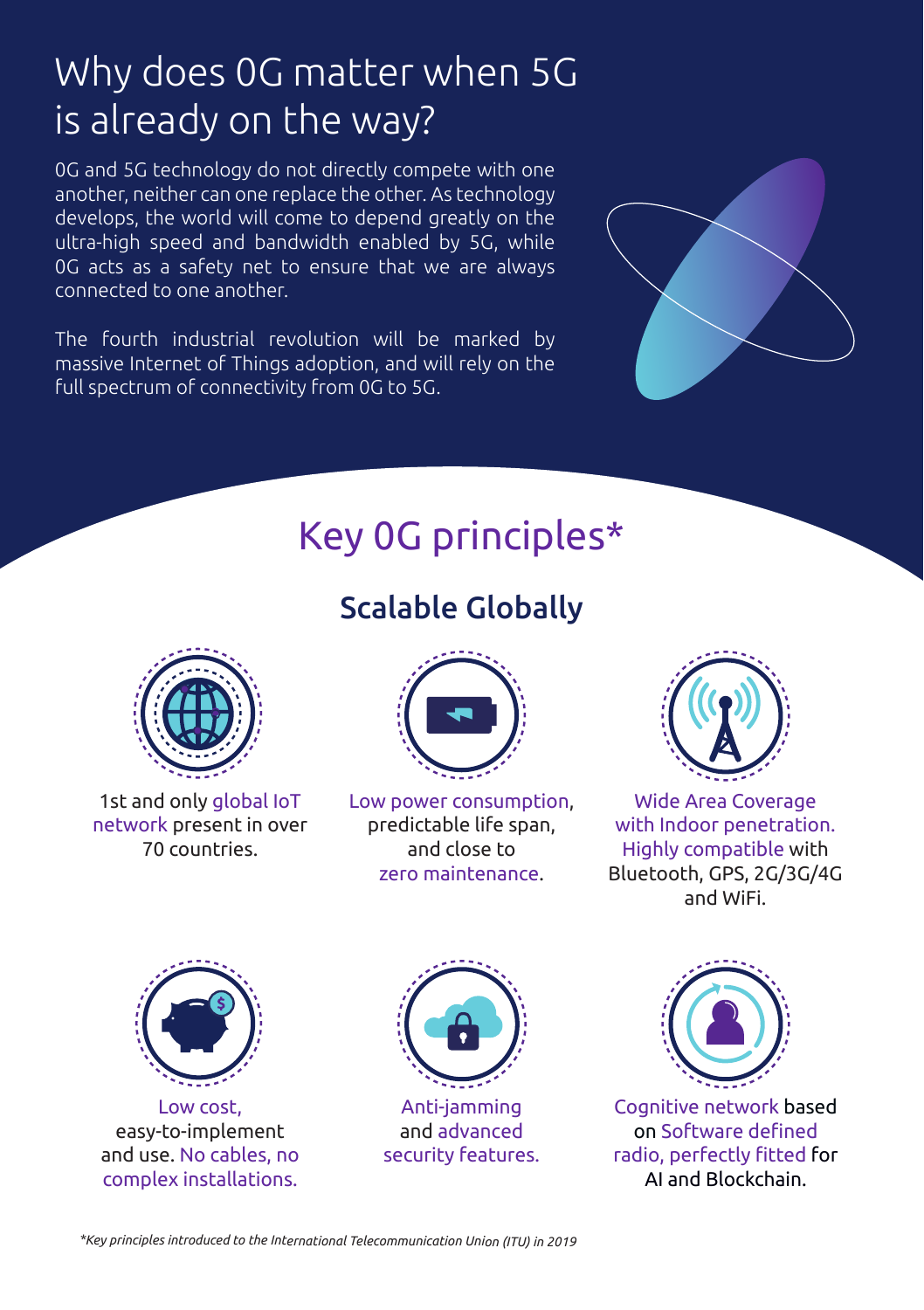## Why does 0G matter when 5G is already on the way?

0G and 5G technology do not directly compete with one another, neither can one replace the other. As technology develops, the world will come to depend greatly on the ultra-high speed and bandwidth enabled by 5G, while 0G acts as a safety net to ensure that we are always connected to one another.

The fourth industrial revolution will be marked by massive Internet of Things adoption, and will rely on the full spectrum of connectivity from 0G to 5G.



## Key 0G principles\*

### Scalable Globally



1st and only global IoT network present in over 70 countries.



Low power consumption, predictable life span, and close to zero maintenance.



Wide Area Coverage with Indoor penetration. Highly compatible with Bluetooth, GPS, 2G/3G/4G and WiFi.



Low cost, easy-to-implement and use. No cables, no complex installations.



Anti-jamming and advanced security features.



Cognitive network based on Software defined radio, perfectly fitted for AI and Blockchain.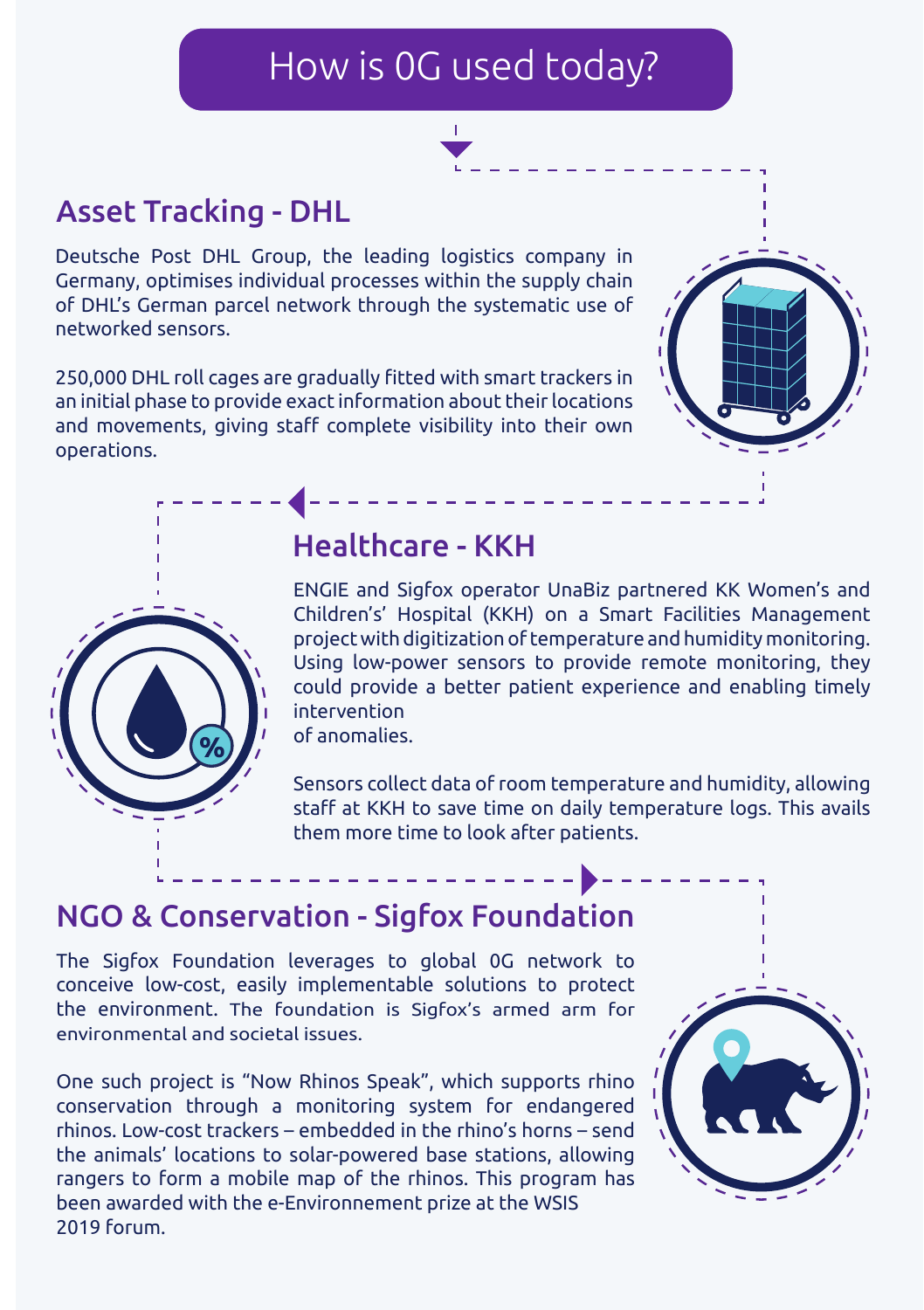## How is 0G used today?



#### Asset Tracking - DHL

Deutsche Post DHL Group, the leading logistics company in Germany, optimises individual processes within the supply chain of DHL's German parcel network through the systematic use of networked sensors.

250,000 DHL roll cages are gradually fitted with smart trackers in an initial phase to provide exact information about their locations and movements, giving staff complete visibility into their own operations.





#### Healthcare - KKH

ENGIE and Sigfox operator UnaBiz partnered KK Women's and Children's' Hospital (KKH) on a Smart Facilities Management project with digitization of temperature and humidity monitoring. Using low-power sensors to provide remote monitoring, they could provide a better patient experience and enabling timely intervention of anomalies.

<u>\_\_\_\_\_\_\_\_\_\_\_</u>

Sensors collect data of room temperature and humidity, allowing staff at KKH to save time on daily temperature logs. This avails them more time to look after patients.

#### NGO & Conservation - Sigfox Foundation

The Sigfox Foundation leverages to global 0G network to conceive low-cost, easily implementable solutions to protect the environment. The foundation is Sigfox's armed arm for environmental and societal issues.

One such project is "Now Rhinos Speak", which supports rhino conservation through a monitoring system for endangered rhinos. Low-cost trackers – embedded in the rhino's horns – send the animals' locations to solar-powered base stations, allowing rangers to form a mobile map of the rhinos. This program has been awarded with the e-Environnement prize at the WSIS 2019 forum.